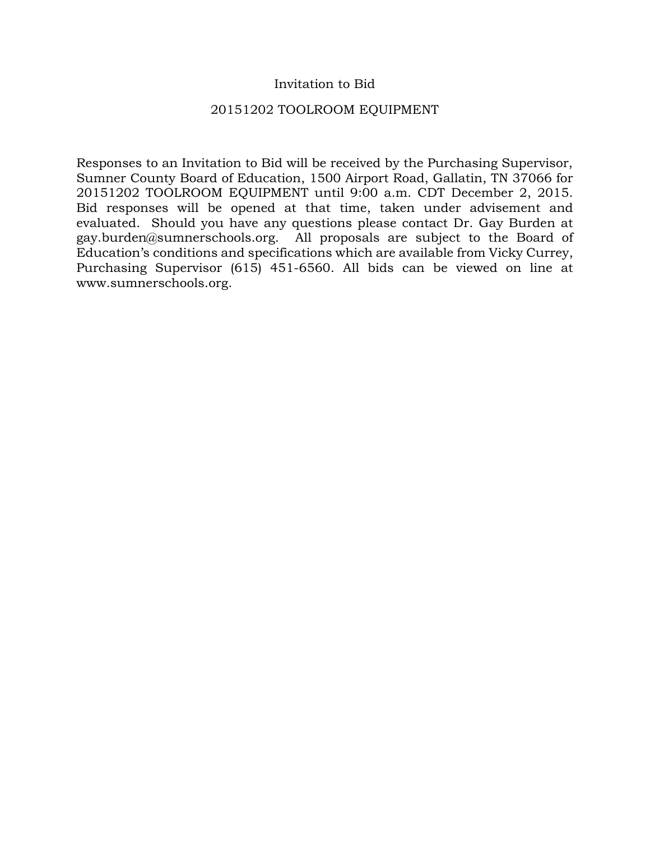### Invitation to Bid

### 20151202 TOOLROOM EQUIPMENT

Responses to an Invitation to Bid will be received by the Purchasing Supervisor, Sumner County Board of Education, 1500 Airport Road, Gallatin, TN 37066 for 20151202 TOOLROOM EQUIPMENT until 9:00 a.m. CDT December 2, 2015. Bid responses will be opened at that time, taken under advisement and evaluated. Should you have any questions please contact Dr. Gay Burden at gay.burden@sumnerschools.org. All proposals are subject to the Board of Education's conditions and specifications which are available from Vicky Currey, Purchasing Supervisor (615) 451-6560. All bids can be viewed on line at www.sumnerschools.org.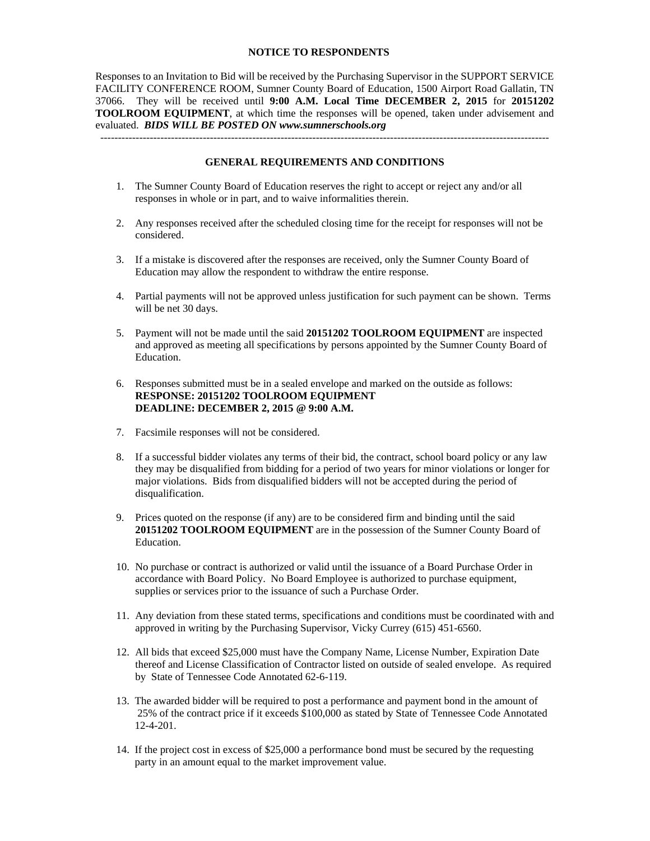#### **NOTICE TO RESPONDENTS**

Responses to an Invitation to Bid will be received by the Purchasing Supervisor in the SUPPORT SERVICE FACILITY CONFERENCE ROOM, Sumner County Board of Education, 1500 Airport Road Gallatin, TN 37066. They will be received until **9:00 A.M. Local Time DECEMBER 2, 2015** for **20151202 TOOLROOM EQUIPMENT**, at which time the responses will be opened, taken under advisement and evaluated. *BIDS WILL BE POSTED ON www.sumnerschools.org* 

#### **GENERAL REQUIREMENTS AND CONDITIONS**

-------------------------------------------------------------------------------------------------------------------------------

- 1. The Sumner County Board of Education reserves the right to accept or reject any and/or all responses in whole or in part, and to waive informalities therein.
- 2. Any responses received after the scheduled closing time for the receipt for responses will not be considered.
- 3. If a mistake is discovered after the responses are received, only the Sumner County Board of Education may allow the respondent to withdraw the entire response.
- 4. Partial payments will not be approved unless justification for such payment can be shown. Terms will be net 30 days.
- 5. Payment will not be made until the said **20151202 TOOLROOM EQUIPMENT** are inspected and approved as meeting all specifications by persons appointed by the Sumner County Board of Education.
- 6. Responses submitted must be in a sealed envelope and marked on the outside as follows: **RESPONSE: 20151202 TOOLROOM EQUIPMENT DEADLINE: DECEMBER 2, 2015 @ 9:00 A.M.**
- 7. Facsimile responses will not be considered.
- 8. If a successful bidder violates any terms of their bid, the contract, school board policy or any law they may be disqualified from bidding for a period of two years for minor violations or longer for major violations. Bids from disqualified bidders will not be accepted during the period of disqualification.
- 9. Prices quoted on the response (if any) are to be considered firm and binding until the said **20151202 TOOLROOM EQUIPMENT** are in the possession of the Sumner County Board of Education.
- 10. No purchase or contract is authorized or valid until the issuance of a Board Purchase Order in accordance with Board Policy. No Board Employee is authorized to purchase equipment, supplies or services prior to the issuance of such a Purchase Order.
- 11. Any deviation from these stated terms, specifications and conditions must be coordinated with and approved in writing by the Purchasing Supervisor, Vicky Currey (615) 451-6560.
- 12. All bids that exceed \$25,000 must have the Company Name, License Number, Expiration Date thereof and License Classification of Contractor listed on outside of sealed envelope. As required by State of Tennessee Code Annotated 62-6-119.
- 13. The awarded bidder will be required to post a performance and payment bond in the amount of 25% of the contract price if it exceeds \$100,000 as stated by State of Tennessee Code Annotated 12-4-201.
- 14. If the project cost in excess of \$25,000 a performance bond must be secured by the requesting party in an amount equal to the market improvement value.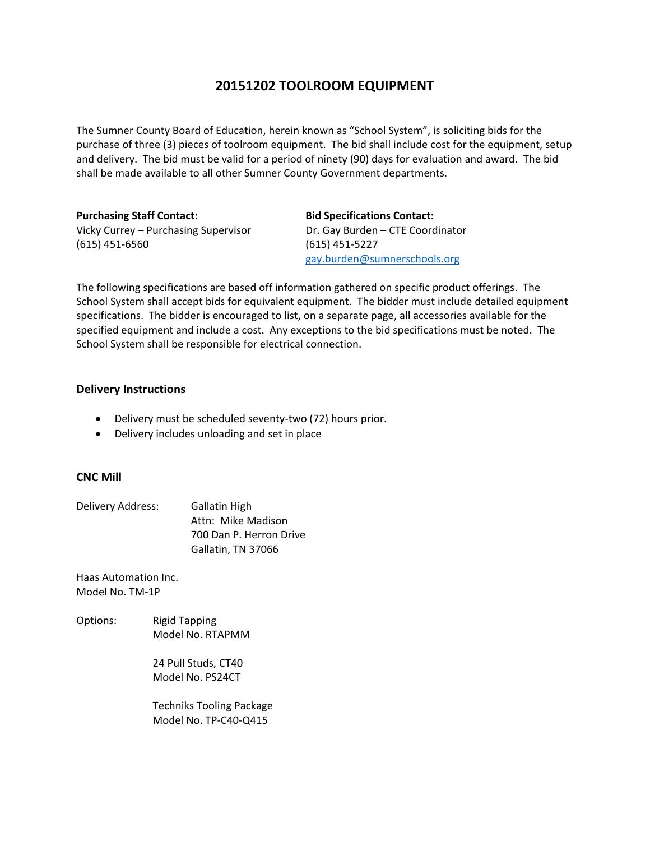## **20151202 TOOLROOM EQUIPMENT**

The Sumner County Board of Education, herein known as "School System", is soliciting bids for the purchase of three (3) pieces of toolroom equipment. The bid shall include cost for the equipment, setup and delivery. The bid must be valid for a period of ninety (90) days for evaluation and award. The bid shall be made available to all other Sumner County Government departments.

**Purchasing Staff Contact: Bid Specifications Contact:** Vicky Currey – Purchasing Supervisor Dr. Gay Burden – CTE Coordinator (615) 451‐6560 (615) 451‐5227

gay.burden@sumnerschools.org

The following specifications are based off information gathered on specific product offerings. The School System shall accept bids for equivalent equipment. The bidder must include detailed equipment specifications. The bidder is encouraged to list, on a separate page, all accessories available for the specified equipment and include a cost. Any exceptions to the bid specifications must be noted. The School System shall be responsible for electrical connection.

### **Delivery Instructions**

- Delivery must be scheduled seventy-two (72) hours prior.
- Delivery includes unloading and set in place

### **CNC Mill**

| Delivery Address: | <b>Gallatin High</b>    |  |
|-------------------|-------------------------|--|
|                   | Attn: Mike Madison      |  |
|                   | 700 Dan P. Herron Drive |  |
|                   | Gallatin, TN 37066      |  |

Haas Automation Inc. Model No. TM‐1P

Options: Rigid Tapping Model No. RTAPMM

> 24 Pull Studs, CT40 Model No. PS24CT

 Techniks Tooling Package Model No. TP‐C40‐Q415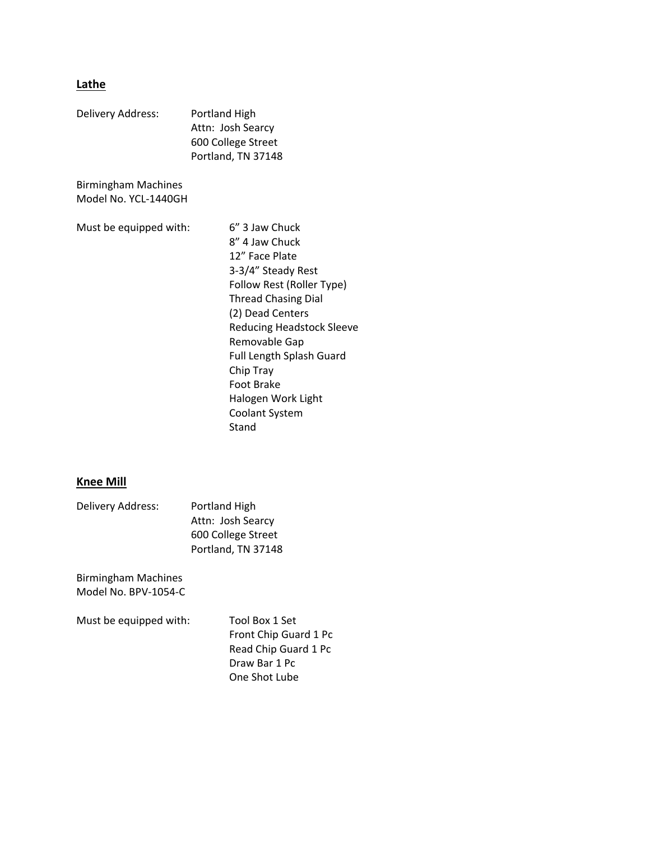# **Lathe**

| Delivery Address:                           | Portland High<br>Attn: Josh Searcy<br>600 College Street<br>Portland, TN 37148                                                                                                                                                                                                                                                     |  |  |
|---------------------------------------------|------------------------------------------------------------------------------------------------------------------------------------------------------------------------------------------------------------------------------------------------------------------------------------------------------------------------------------|--|--|
| Birmingham Machines<br>Model No. YCL-1440GH |                                                                                                                                                                                                                                                                                                                                    |  |  |
| Must be equipped with:                      | 6" 3 Jaw Chuck<br>8" 4 Jaw Chuck<br>12" Face Plate<br>3-3/4" Steady Rest<br>Follow Rest (Roller Type)<br><b>Thread Chasing Dial</b><br>(2) Dead Centers<br><b>Reducing Headstock Sleeve</b><br>Removable Gap<br><b>Full Length Splash Guard</b><br>Chip Tray<br>Foot Brake<br>Halogen Work Light<br><b>Coolant System</b><br>Stand |  |  |

# **Knee Mill**

| Delivery Address: | Portland High      |  |
|-------------------|--------------------|--|
|                   | Attn: Josh Searcy  |  |
|                   | 600 College Street |  |
|                   | Portland, TN 37148 |  |

Birmingham Machines Model No. BPV‐1054‐C

Must be equipped with: Tool Box 1 Set

 Front Chip Guard 1 Pc Read Chip Guard 1 Pc Draw Bar 1 Pc One Shot Lube